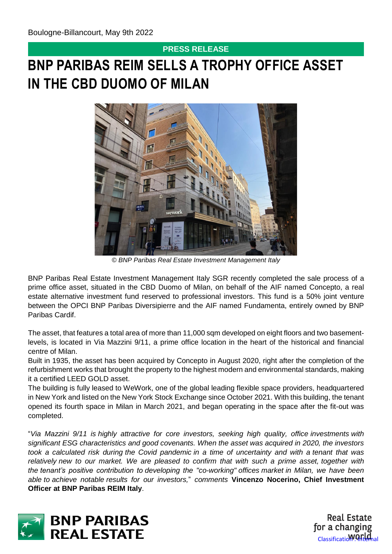# **PRESS RELEASE**

# **BNP PARIBAS REIM SELLS A TROPHY OFFICE ASSET IN THE CBD DUOMO OF MILAN**



*© BNP Paribas Real Estate Investment Management Italy*

BNP Paribas Real Estate Investment Management Italy SGR recently completed the sale process of a prime office asset, situated in the CBD Duomo of Milan, on behalf of the AIF named Concepto, a real estate alternative investment fund reserved to professional investors. This fund is a 50% joint venture between the OPCI BNP Paribas Diversipierre and the AIF named Fundamenta, entirely owned by BNP Paribas Cardif.

The asset, that features a total area of more than 11,000 sqm developed on eight floors and two basementlevels, is located in Via Mazzini 9/11, a prime office location in the heart of the historical and financial centre of Milan.

Built in 1935, the asset has been acquired by Concepto in August 2020, right after the completion of the refurbishment works that brought the property to the highest modern and environmental standards, making it a certified LEED GOLD asset.

The building is fully leased to WeWork, one of the global leading flexible space providers, headquartered in New York and listed on the New York Stock Exchange since October 2021. With this building, the tenant opened its fourth space in Milan in March 2021, and began operating in the space after the fit-out was completed.

"*Via Mazzini 9/11 is highly attractive for core investors, seeking high quality, office investments with significant ESG characteristics and good covenants. When the asset was acquired in 2020, the investors took a calculated risk during the Covid pandemic in a time of uncertainty and with a tenant that was relatively new to our market. We are pleased to confirm that with such a prime asset, together with the tenant's positive contribution to developing the "co-working" offices market in Milan, we have been able to achieve notable results for our investors,*" *comments* **Vincenzo Nocerino, Chief Investment Officer at BNP Paribas REIM Italy**.



**Real Estate** for a changing Classificatio**WOrld**